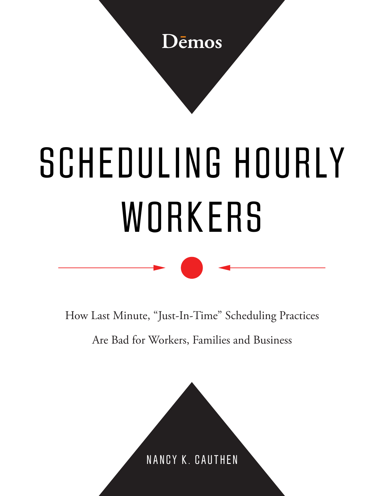

# SCHEDULING HOURLY WORKERS

How Last Minute, "Just-In-Time" Scheduling Practices

Are Bad for Workers, Families and Business

NANCY K. CAUTHEN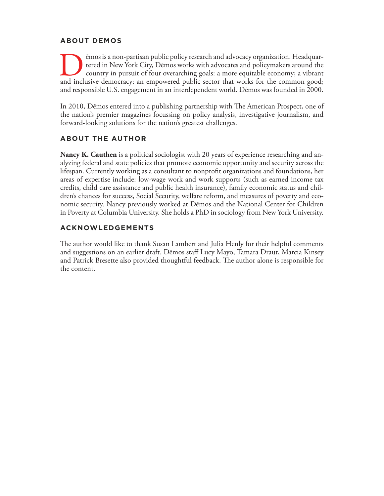#### **ABOUT DEMOS**

I emos is a non-partisan public policy research and advocacy organization. Headquartered in New York City, Demos works with advocates and policymakers around the country in pursuit of four overarching goals: a more equitab tered in New York City, Dēmos works with advocates and policymakers around the country in pursuit of four overarching goals: a more equitable economy; a vibrant and inclusive democracy; an empowered public sector that works for the common good; and responsible U.S. engagement in an interdependent world. Dēmos was founded in 2000.

In 2010, Dēmos entered into a publishing partnership with The American Prospect, one of the nation's premier magazines focussing on policy analysis, investigative journalism, and forward-looking solutions for the nation's greatest challenges.

#### **ABOUT THE AUTHOR**

**Nancy K. Cauthen** is a political sociologist with 20 years of experience researching and analyzing federal and state policies that promote economic opportunity and security across the lifespan. Currently working as a consultant to nonprofit organizations and foundations, her areas of expertise include: low-wage work and work supports (such as earned income tax credits, child care assistance and public health insurance), family economic status and children's chances for success, Social Security, welfare reform, and measures of poverty and economic security. Nancy previously worked at Dēmos and the National Center for Children in Poverty at Columbia University. She holds a PhD in sociology from New York University.

#### **ACKNOWLEDGEMENTS**

The author would like to thank Susan Lambert and Julia Henly for their helpful comments and suggestions on an earlier draft. Dēmos staff Lucy Mayo, Tamara Draut, Marcia Kinsey and Patrick Bresette also provided thoughtful feedback. The author alone is responsible for the content.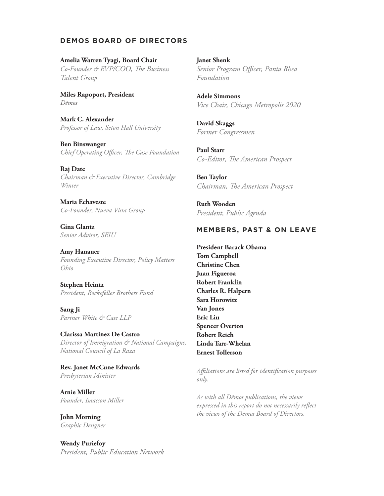#### **DEMOS BOARD OF DIRECTORS**

#### **Amelia Warren Tyagi, Board Chair** *Co-Founder & EVP/COO, The Business*

*Talent Group*

**Miles Rapoport, President**  *Dēmos*

**Mark C. Alexander** *Professor of Law, Seton Hall University*

**Ben Binswanger** *Chief Operating Officer, The Case Foundation*

**Raj Date**  *Chairman & Executive Director, Cambridge Winter*

**Maria Echaveste** *Co-Founder, Nueva Vista Group*

**Gina Glantz** *Senior Advisor, SEIU*

**Amy Hanauer** *Founding Executive Director, Policy Matters Ohio*

#### **Stephen Heintz** *President, Rockefeller Brothers Fund*

**Sang Ji** *Partner White & Case LLP*

#### **Clarissa Martinez De Castro**

*Director of Immigration & National Campaigns, National Council of La Raza*

**Rev. Janet McCune Edwards** *Presbyterian Minister*

**Arnie Miller** *Founder, Isaacson Miller*

**John Morning** *Graphic Designer*

#### **Wendy Puriefoy**

*President, Public Education Network*

**Janet Shenk** *Senior Program Officer, Panta Rhea Foundation*

**Adele Simmons** *Vice Chair, Chicago Metropolis 2020* 

**David Skaggs** *Former Congressmen*

**Paul Starr** *Co-Editor, The American Prospect*

**Ben Taylor** *Chairman, The American Prospect*

**Ruth Wooden** *President, Public Agenda*

#### **MEMBERS, PAST & ON LEAVE**

**President Barack Obama Tom Campbell Christine Chen Juan Figueroa Robert Franklin Charles R. Halpern Sara Horowitz Van Jones Eric Liu Spencer Overton Robert Reich Linda Tarr-Whelan Ernest Tollerson**

*Affiliations are listed for identification purposes only.* 

*As with all Dēmos publications, the views expressed in this report do not necessarily reflect the views of the Dēmos Board of Directors.*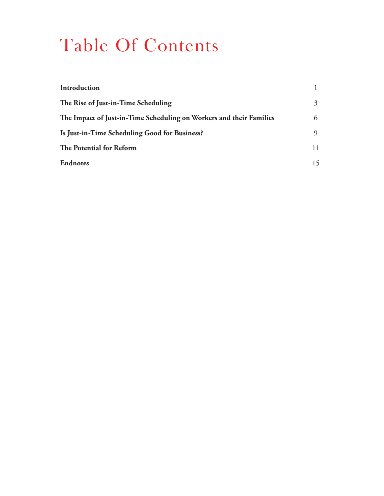### Table Of Contents

| Introduction                                                        |    |
|---------------------------------------------------------------------|----|
| The Rise of Just-in-Time Scheduling                                 | 3  |
| The Impact of Just-in-Time Scheduling on Workers and their Families | 6  |
| Is Just-in-Time Scheduling Good for Business?                       | 9  |
| The Potential for Reform                                            | 11 |
| <b>Endnotes</b>                                                     | 15 |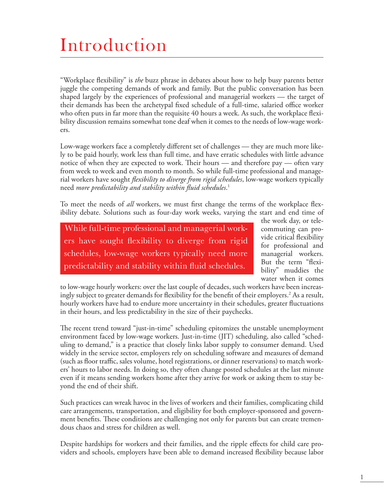## Introduction

"Workplace flexibility" is *the* buzz phrase in debates about how to help busy parents better juggle the competing demands of work and family. But the public conversation has been shaped largely by the experiences of professional and managerial workers — the target of their demands has been the archetypal fixed schedule of a full-time, salaried office worker who often puts in far more than the requisite 40 hours a week. As such, the workplace flexibility discussion remains somewhat tone deaf when it comes to the needs of low-wage workers.

Low-wage workers face a completely different set of challenges — they are much more likely to be paid hourly, work less than full time, and have erratic schedules with little advance notice of when they are expected to work. Their hours — and therefore pay — often vary from week to week and even month to month. So while full-time professional and managerial workers have sought *flexibility to diverge from rigid schedules*, low-wage workers typically need *more predictability and stability within fluid schedules*. 1

To meet the needs of *all* workers, we must first change the terms of the workplace flexibility debate. Solutions such as four-day work weeks, varying the start and end time of

While full-time professional and managerial workers have sought flexibility to diverge from rigid schedules, low-wage workers typically need more predictability and stability within fluid schedules.

the work day, or telecommuting can provide critical flexibility for professional and managerial workers. But the term "flexibility" muddies the water when it comes

to low-wage hourly workers: over the last couple of decades, such workers have been increasingly subject to greater demands for flexibility for the benefit of their employers.2 As a result, hourly workers have had to endure more uncertainty in their schedules, greater fluctuations in their hours, and less predictability in the size of their paychecks.

The recent trend toward "just-in-time" scheduling epitomizes the unstable unemployment environment faced by low-wage workers. Just-in-time (JIT) scheduling, also called "scheduling to demand," is a practice that closely links labor supply to consumer demand. Used widely in the service sector, employers rely on scheduling software and measures of demand (such as floor traffic, sales volume, hotel registrations, or dinner reservations) to match workers' hours to labor needs. In doing so, they often change posted schedules at the last minute even if it means sending workers home after they arrive for work or asking them to stay beyond the end of their shift.

Such practices can wreak havoc in the lives of workers and their families, complicating child care arrangements, transportation, and eligibility for both employer-sponsored and government benefits. These conditions are challenging not only for parents but can create tremendous chaos and stress for children as well.

Despite hardships for workers and their families, and the ripple effects for child care providers and schools, employers have been able to demand increased flexibility because labor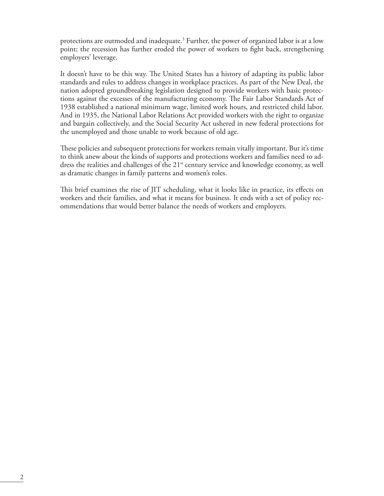protections are outmoded and inadequate.3 Further, the power of organized labor is at a low point; the recession has further eroded the power of workers to fight back, strengthening employers' leverage.

It doesn't have to be this way. The United States has a history of adapting its public labor standards and rules to address changes in workplace practices. As part of the New Deal, the nation adopted groundbreaking legislation designed to provide workers with basic protections against the excesses of the manufacturing economy. The Fair Labor Standards Act of 1938 established a national minimum wage, limited work hours, and restricted child labor. And in 1935, the National Labor Relations Act provided workers with the right to organize and bargain collectively, and the Social Security Act ushered in new federal protections for the unemployed and those unable to work because of old age.

These policies and subsequent protections for workers remain vitally important. But it's time to think anew about the kinds of supports and protections workers and families need to address the realities and challenges of the 21<sup>st</sup> century service and knowledge economy, as well as dramatic changes in family patterns and women's roles.

This brief examines the rise of JIT scheduling, what it looks like in practice, its effects on workers and their families, and what it means for business. It ends with a set of policy recommendations that would better balance the needs of workers and employers.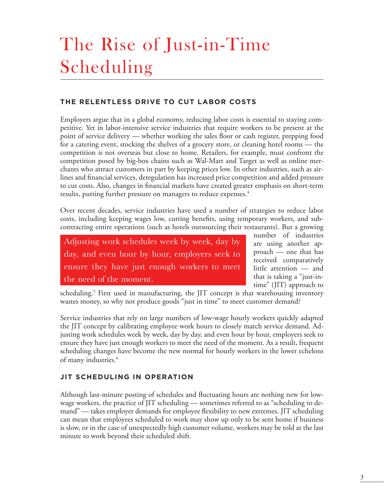# The Rise of Just-in-Time Scheduling

#### **THE RELENTLESS DRIVE TO CUT LABOR COSTS**

Employers argue that in a global economy, reducing labor costs is essential to staying competitive. Yet in labor-intensive service industries that require workers to be present at the point of service delivery — whether working the sales floor or cash register, prepping food for a catering event, stocking the shelves of a grocery store, or cleaning hotel rooms — the competition is not overseas but close to home. Retailers, for example, must confront the competition posed by big-box chains such as Wal-Mart and Target as well as online merchants who attract customers in part by keeping prices low. In other industries, such as airlines and financial services, deregulation has increased price competition and added pressure to cut costs. Also, changes in financial markets have created greater emphasis on short-term results, putting further pressure on managers to reduce expenses.<sup>4</sup>

Over recent decades, service industries have used a number of strategies to reduce labor costs, including keeping wages low, cutting benefits, using temporary workers, and subcontracting entire operations (such as hotels outsourcing their restaurants). But a growing

Adjusting work schedules week by week, day by day, and even hour by hour, employers seek to ensure they have just enough workers to meet the need of the moment.

number of industries are using another approach — one that has received comparatively little attention — and that is taking a "just-intime" (JIT) approach to

scheduling.<sup>5</sup> First used in manufacturing, the JIT concept is that warehousing inventory wastes money, so why not produce goods "just in time" to meet customer demand?

Service industries that rely on large numbers of low-wage hourly workers quickly adapted the JIT concept by calibrating employee work hours to closely match service demand. Adjusting work schedules week by week, day by day, and even hour by hour, employers seek to ensure they have just enough workers to meet the need of the moment. As a result, frequent scheduling changes have become the new normal for hourly workers in the lower echelons of many industries.<sup>6</sup>

#### **JIT SCHEDULING IN OPERATION**

Although last-minute posting of schedules and fluctuating hours are nothing new for lowwage workers, the practice of JIT scheduling — sometimes referred to as "scheduling to demand" — takes employer demands for employee flexibility to new extremes. JIT scheduling can mean that employees scheduled to work may show up only to be sent home if business is slow, or in the case of unexpectedly high customer volume, workers may be told at the last minute to work beyond their scheduled shift.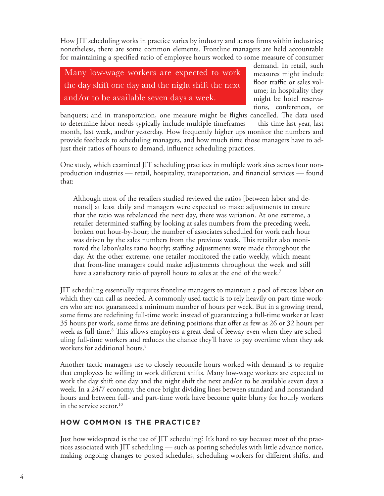How JIT scheduling works in practice varies by industry and across firms within industries; nonetheless, there are some common elements. Frontline managers are held accountable for maintaining a specified ratio of employee hours worked to some measure of consumer

Many low-wage workers are expected to work the day shift one day and the night shift the next and/or to be available seven days a week.

demand. In retail, such measures might include floor traffic or sales volume; in hospitality they might be hotel reservations, conferences, or

banquets; and in transportation, one measure might be flights cancelled. The data used to determine labor needs typically include multiple timeframes — this time last year, last month, last week, and/or yesterday. How frequently higher ups monitor the numbers and provide feedback to scheduling managers, and how much time those managers have to adjust their ratios of hours to demand, influence scheduling practices.

One study, which examined JIT scheduling practices in multiple work sites across four nonproduction industries — retail, hospitality, transportation, and financial services — found that:

Although most of the retailers studied reviewed the ratios [between labor and demand] at least daily and managers were expected to make adjustments to ensure that the ratio was rebalanced the next day, there was variation. At one extreme, a retailer determined staffing by looking at sales numbers from the preceding week, broken out hour-by-hour; the number of associates scheduled for work each hour was driven by the sales numbers from the previous week. This retailer also monitored the labor/sales ratio hourly; staffing adjustments were made throughout the day. At the other extreme, one retailer monitored the ratio weekly, which meant that front-line managers could make adjustments throughout the week and still have a satisfactory ratio of payroll hours to sales at the end of the week.<sup>7</sup>

JIT scheduling essentially requires frontline managers to maintain a pool of excess labor on which they can call as needed. A commonly used tactic is to rely heavily on part-time workers who are not guaranteed a minimum number of hours per week. But in a growing trend, some firms are redefining full-time work: instead of guaranteeing a full-time worker at least 35 hours per work, some firms are defining positions that offer as few as 26 or 32 hours per week as full time.<sup>8</sup> This allows employers a great deal of leeway even when they are scheduling full-time workers and reduces the chance they'll have to pay overtime when they ask workers for additional hours.<sup>9</sup>

Another tactic managers use to closely reconcile hours worked with demand is to require that employees be willing to work different shifts. Many low-wage workers are expected to work the day shift one day and the night shift the next and/or to be available seven days a week. In a 24/7 economy, the once bright dividing lines between standard and nonstandard hours and between full- and part-time work have become quite blurry for hourly workers in the service sector.<sup>10</sup>

#### **HOW COMMON IS THE PRACTICE?**

Just how widespread is the use of JIT scheduling? It's hard to say because most of the practices associated with JIT scheduling — such as posting schedules with little advance notice, making ongoing changes to posted schedules, scheduling workers for different shifts, and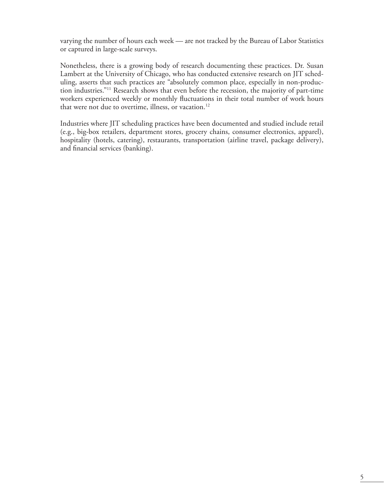varying the number of hours each week — are not tracked by the Bureau of Labor Statistics or captured in large-scale surveys.

Nonetheless, there is a growing body of research documenting these practices. Dr. Susan Lambert at the University of Chicago, who has conducted extensive research on JIT scheduling, asserts that such practices are "absolutely common place, especially in non-production industries."11 Research shows that even before the recession, the majority of part-time workers experienced weekly or monthly fluctuations in their total number of work hours that were not due to overtime, illness, or vacation.<sup>12</sup>

Industries where JIT scheduling practices have been documented and studied include retail (e.g., big-box retailers, department stores, grocery chains, consumer electronics, apparel), hospitality (hotels, catering), restaurants, transportation (airline travel, package delivery), and financial services (banking).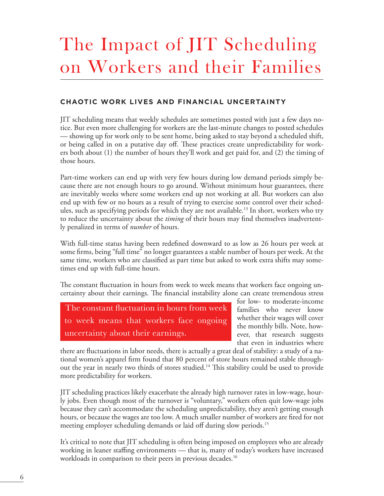## The Impact of JIT Scheduling on Workers and their Families

#### **CHAOTIC WORK LIVES AND FINANCIAL UNCERTAINTY**

JIT scheduling means that weekly schedules are sometimes posted with just a few days notice. But even more challenging for workers are the last-minute changes to posted schedules — showing up for work only to be sent home, being asked to stay beyond a scheduled shift, or being called in on a putative day off. These practices create unpredictability for workers both about (1) the number of hours they'll work and get paid for, and (2) the timing of those hours.

Part-time workers can end up with very few hours during low demand periods simply because there are not enough hours to go around. Without minimum hour guarantees, there are inevitably weeks where some workers end up not working at all. But workers can also end up with few or no hours as a result of trying to exercise some control over their schedules, such as specifying periods for which they are not available.<sup>13</sup> In short, workers who try to reduce the uncertainty about the *timing* of their hours may find themselves inadvertently penalized in terms of *number* of hours.

With full-time status having been redefined downward to as low as 26 hours per week at some firms, being "full time" no longer guarantees a stable number of hours per week. At the same time, workers who are classified as part time but asked to work extra shifts may sometimes end up with full-time hours.

The constant fluctuation in hours from week to week means that workers face ongoing uncertainty about their earnings. The financial instability alone can create tremendous stress

The constant fluctuation in hours from week to week means that workers face ongoing uncertainty about their earnings.

for low- to moderate-income families who never know whether their wages will cover the monthly bills. Note, however, that research suggests that even in industries where

there are fluctuations in labor needs, there is actually a great deal of stability: a study of a national women's apparel firm found that 80 percent of store hours remained stable throughout the year in nearly two thirds of stores studied.<sup>14</sup> This stability could be used to provide more predictability for workers.

JIT scheduling practices likely exacerbate the already high turnover rates in low-wage, hourly jobs. Even though most of the turnover is "voluntary," workers often quit low-wage jobs because they can't accommodate the scheduling unpredictability, they aren't getting enough hours, or because the wages are too low. A much smaller number of workers are fired for not meeting employer scheduling demands or laid off during slow periods.<sup>15</sup>

It's critical to note that JIT scheduling is often being imposed on employees who are already working in leaner staffing environments — that is, many of today's workers have increased workloads in comparison to their peers in previous decades.<sup>16</sup>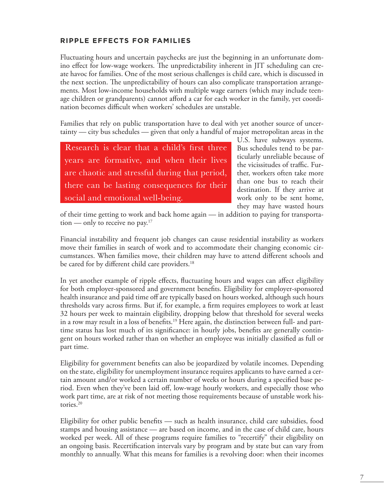#### **RIPPLE EFFECTS FOR FAMILIES**

Fluctuating hours and uncertain paychecks are just the beginning in an unfortunate domino effect for low-wage workers. The unpredictability inherent in JIT scheduling can create havoc for families. One of the most serious challenges is child care, which is discussed in the next section. The unpredictability of hours can also complicate transportation arrangements. Most low-income households with multiple wage earners (which may include teenage children or grandparents) cannot afford a car for each worker in the family, yet coordination becomes difficult when workers' schedules are unstable.

Families that rely on public transportation have to deal with yet another source of uncertainty — city bus schedules — given that only a handful of major metropolitan areas in the

Research is clear that a child's first three years are formative, and when their lives are chaotic and stressful during that period, there can be lasting consequences for their social and emotional well-being.

U.S. have subways systems. Bus schedules tend to be particularly unreliable because of the vicissitudes of traffic. Further, workers often take more than one bus to reach their destination. If they arrive at work only to be sent home, they may have wasted hours

of their time getting to work and back home again — in addition to paying for transportation — only to receive no pay.<sup>17</sup>

Financial instability and frequent job changes can cause residential instability as workers move their families in search of work and to accommodate their changing economic circumstances. When families move, their children may have to attend different schools and be cared for by different child care providers.<sup>18</sup>

In yet another example of ripple effects, fluctuating hours and wages can affect eligibility for both employer-sponsored and government benefits. Eligibility for employer-sponsored health insurance and paid time off are typically based on hours worked, although such hours thresholds vary across firms. But if, for example, a firm requires employees to work at least 32 hours per week to maintain eligibility, dropping below that threshold for several weeks in a row may result in a loss of benefits.<sup>19</sup> Here again, the distinction between full- and parttime status has lost much of its significance: in hourly jobs, benefits are generally contingent on hours worked rather than on whether an employee was initially classified as full or part time.

Eligibility for government benefits can also be jeopardized by volatile incomes. Depending on the state, eligibility for unemployment insurance requires applicants to have earned a certain amount and/or worked a certain number of weeks or hours during a specified base period. Even when they've been laid off, low-wage hourly workers, and especially those who work part time, are at risk of not meeting those requirements because of unstable work histories.<sup>20</sup>

Eligibility for other public benefits — such as health insurance, child care subsidies, food stamps and housing assistance — are based on income, and in the case of child care, hours worked per week. All of these programs require families to "recertify" their eligibility on an ongoing basis. Recertification intervals vary by program and by state but can vary from monthly to annually. What this means for families is a revolving door: when their incomes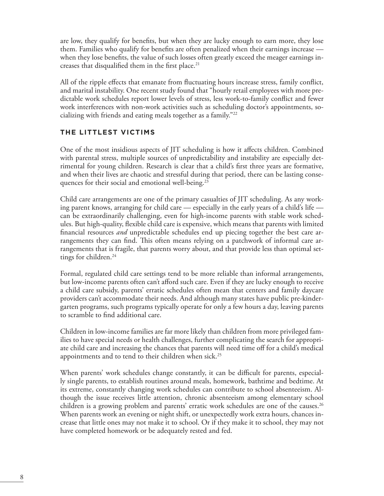are low, they qualify for benefits, but when they are lucky enough to earn more, they lose them. Families who qualify for benefits are often penalized when their earnings increase when they lose benefits, the value of such losses often greatly exceed the meager earnings increases that disqualified them in the first place. $21$ 

All of the ripple effects that emanate from fluctuating hours increase stress, family conflict, and marital instability. One recent study found that "hourly retail employees with more predictable work schedules report lower levels of stress, less work-to-family conflict and fewer work interferences with non-work activities such as scheduling doctor's appointments, socializing with friends and eating meals together as a family."22

#### **THE LITTLEST VICTIMS**

One of the most insidious aspects of JIT scheduling is how it affects children. Combined with parental stress, multiple sources of unpredictability and instability are especially detrimental for young children. Research is clear that a child's first three years are formative, and when their lives are chaotic and stressful during that period, there can be lasting consequences for their social and emotional well-being.<sup>23</sup>

Child care arrangements are one of the primary casualties of JIT scheduling. As any working parent knows, arranging for child care — especially in the early years of a child's life can be extraordinarily challenging, even for high-income parents with stable work schedules. But high-quality, flexible child care is expensive, which means that parents with limited financial resources *and* unpredictable schedules end up piecing together the best care arrangements they can find. This often means relying on a patchwork of informal care arrangements that is fragile, that parents worry about, and that provide less than optimal settings for children.<sup>24</sup>

Formal, regulated child care settings tend to be more reliable than informal arrangements, but low-income parents often can't afford such care. Even if they are lucky enough to receive a child care subsidy, parents' erratic schedules often mean that centers and family daycare providers can't accommodate their needs. And although many states have public pre-kindergarten programs, such programs typically operate for only a few hours a day, leaving parents to scramble to find additional care.

Children in low-income families are far more likely than children from more privileged families to have special needs or health challenges, further complicating the search for appropriate child care and increasing the chances that parents will need time off for a child's medical appointments and to tend to their children when sick.<sup>25</sup>

When parents' work schedules change constantly, it can be difficult for parents, especially single parents, to establish routines around meals, homework, bathtime and bedtime. At its extreme, constantly changing work schedules can contribute to school absenteeism. Although the issue receives little attention, chronic absenteeism among elementary school children is a growing problem and parents' erratic work schedules are one of the causes.<sup>26</sup> When parents work an evening or night shift, or unexpectedly work extra hours, chances increase that little ones may not make it to school. Or if they make it to school, they may not have completed homework or be adequately rested and fed.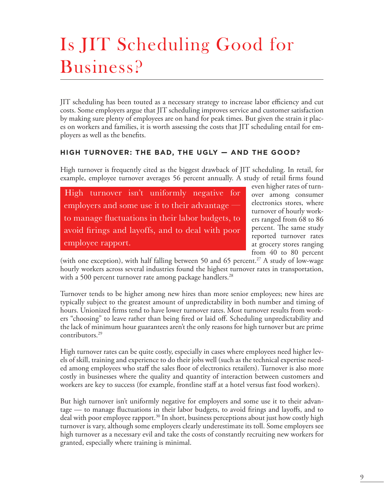# Is JIT Scheduling Good for Business?

JIT scheduling has been touted as a necessary strategy to increase labor efficiency and cut costs. Some employers argue that JIT scheduling improves service and customer satisfaction by making sure plenty of employees are on hand for peak times. But given the strain it places on workers and families, it is worth assessing the costs that JIT scheduling entail for employers as well as the benefits.

#### **HIGH TURNOVER: THE BAD, THE UGLY — AND THE GOOD?**

High turnover is frequently cited as the biggest drawback of JIT scheduling. In retail, for example, employee turnover averages 56 percent annually. A study of retail firms found

High turnover isn't uniformly negative for employers and some use it to their advantage to manage fluctuations in their labor budgets, to avoid firings and layoffs, and to deal with poor employee rapport.

even higher rates of turnover among consumer electronics stores, where turnover of hourly workers ranged from 68 to 86 percent. The same study reported turnover rates at grocery stores ranging from 40 to 80 percent

(with one exception), with half falling between 50 and 65 percent.<sup>27</sup> A study of low-wage hourly workers across several industries found the highest turnover rates in transportation, with a 500 percent turnover rate among package handlers.<sup>28</sup>

Turnover tends to be higher among new hires than more senior employees; new hires are typically subject to the greatest amount of unpredictability in both number and timing of hours. Unionized firms tend to have lower turnover rates. Most turnover results from workers "choosing" to leave rather than being fired or laid off. Scheduling unpredictability and the lack of minimum hour guarantees aren't the only reasons for high turnover but are prime contributors.29

High turnover rates can be quite costly, especially in cases where employees need higher levels of skill, training and experience to do their jobs well (such as the technical expertise needed among employees who staff the sales floor of electronics retailers). Turnover is also more costly in businesses where the quality and quantity of interaction between customers and workers are key to success (for example, frontline staff at a hotel versus fast food workers).

But high turnover isn't uniformly negative for employers and some use it to their advantage — to manage fluctuations in their labor budgets, to avoid firings and layoffs, and to deal with poor employee rapport.<sup>30</sup> In short, business perceptions about just how costly high turnover is vary, although some employers clearly underestimate its toll. Some employers see high turnover as a necessary evil and take the costs of constantly recruiting new workers for granted, especially where training is minimal.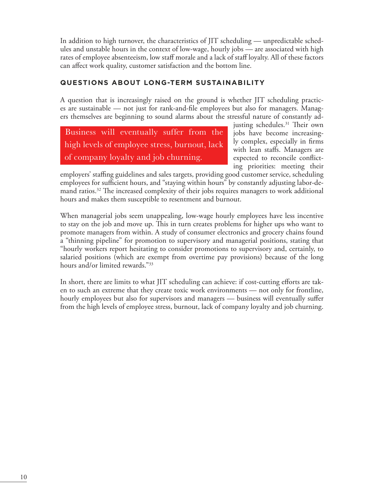In addition to high turnover, the characteristics of JIT scheduling — unpredictable schedules and unstable hours in the context of low-wage, hourly jobs — are associated with high rates of employee absenteeism, low staff morale and a lack of staff loyalty. All of these factors can affect work quality, customer satisfaction and the bottom line.

#### **QUESTIONS ABOUT LONG-TERM SUSTAINABILITY**

A question that is increasingly raised on the ground is whether JIT scheduling practices are sustainable — not just for rank-and-file employees but also for managers. Managers themselves are beginning to sound alarms about the stressful nature of constantly ad-

Business will eventually suffer from the high levels of employee stress, burnout, lack of company loyalty and job churning.

justing schedules.<sup>31</sup> Their own jobs have become increasingly complex, especially in firms with lean staffs. Managers are expected to reconcile conflicting priorities: meeting their

employers' staffing guidelines and sales targets, providing good customer service, scheduling employees for sufficient hours, and "staying within hours" by constantly adjusting labor-demand ratios.32 The increased complexity of their jobs requires managers to work additional hours and makes them susceptible to resentment and burnout.

When managerial jobs seem unappealing, low-wage hourly employees have less incentive to stay on the job and move up. This in turn creates problems for higher ups who want to promote managers from within. A study of consumer electronics and grocery chains found a "thinning pipeline" for promotion to supervisory and managerial positions, stating that "hourly workers report hesitating to consider promotions to supervisory and, certainly, to salaried positions (which are exempt from overtime pay provisions) because of the long hours and/or limited rewards."33

In short, there are limits to what JIT scheduling can achieve: if cost-cutting efforts are taken to such an extreme that they create toxic work environments — not only for frontline, hourly employees but also for supervisors and managers — business will eventually suffer from the high levels of employee stress, burnout, lack of company loyalty and job churning.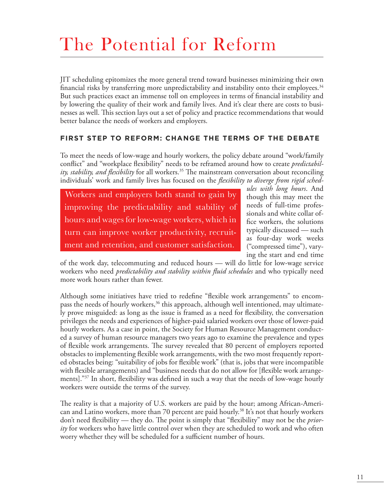### The Potential for Reform

JIT scheduling epitomizes the more general trend toward businesses minimizing their own financial risks by transferring more unpredictability and instability onto their employees.<sup>34</sup> But such practices exact an immense toll on employees in terms of financial instability and by lowering the quality of their work and family lives. And it's clear there are costs to businesses as well. This section lays out a set of policy and practice recommendations that would better balance the needs of workers and employers.

#### **FIRST STEP TO REFORM: CHANGE THE TERMS OF THE DEBATE**

To meet the needs of low-wage and hourly workers, the policy debate around "work/family conflict" and "workplace flexibility" needs to be reframed around how to create *predictability, stability, and flexibility* for all workers.<sup>35</sup> The mainstream conversation about reconciling individuals' work and family lives has focused on the *flexibility to diverge from rigid sched-*

Workers and employers both stand to gain by improving the predictability and stability of hours and wages for low-wage workers, which in turn can improve worker productivity, recruitment and retention, and customer satisfaction.

*ules with long hours*. And though this may meet the needs of full-time professionals and white collar office workers, the solutions typically discussed — such as four-day work weeks ("compressed time"), varying the start and end time

of the work day, telecommuting and reduced hours — will do little for low-wage service workers who need *predictability and stability within fluid schedules* and who typically need more work hours rather than fewer.

Although some initiatives have tried to redefine "flexible work arrangements" to encompass the needs of hourly workers,<sup>36</sup> this approach, although well intentioned, may ultimately prove misguided: as long as the issue is framed as a need for flexibility, the conversation privileges the needs and experiences of higher-paid salaried workers over those of lower-paid hourly workers. As a case in point, the Society for Human Resource Management conducted a survey of human resource managers two years ago to examine the prevalence and types of flexible work arrangements. The survey revealed that 80 percent of employers reported obstacles to implementing flexible work arrangements, with the two most frequently reported obstacles being: "suitability of jobs for flexible work" (that is, jobs that were incompatible with flexible arrangements) and "business needs that do not allow for [flexible work arrangements]."37 In short, flexibility was defined in such a way that the needs of low-wage hourly workers were outside the terms of the survey.

The reality is that a majority of U.S. workers are paid by the hour; among African-American and Latino workers, more than 70 percent are paid hourly.38 It's not that hourly workers don't need flexibility — they do. The point is simply that "flexibility" may not be the *priority* for workers who have little control over when they are scheduled to work and who often worry whether they will be scheduled for a sufficient number of hours.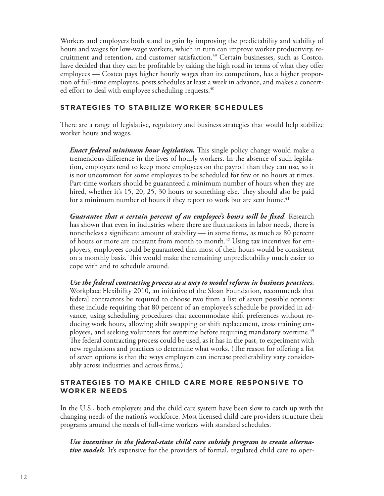Workers and employers both stand to gain by improving the predictability and stability of hours and wages for low-wage workers, which in turn can improve worker productivity, recruitment and retention, and customer satisfaction.<sup>39</sup> Certain businesses, such as Costco, have decided that they can be profitable by taking the high road in terms of what they offer employees — Costco pays higher hourly wages than its competitors, has a higher proportion of full-time employees, posts schedules at least a week in advance, and makes a concerted effort to deal with employee scheduling requests.<sup>40</sup>

#### **STRATEGIES TO STABILIZE WORKER SCHEDULES**

There are a range of legislative, regulatory and business strategies that would help stabilize worker hours and wages.

*Enact federal minimum hour legislation.* This single policy change would make a tremendous difference in the lives of hourly workers. In the absence of such legislation, employers tend to keep more employees on the payroll than they can use, so it is not uncommon for some employees to be scheduled for few or no hours at times. Part-time workers should be guaranteed a minimum number of hours when they are hired, whether it's 15, 20, 25, 30 hours or something else. They should also be paid for a minimum number of hours if they report to work but are sent home. $41$ 

*Guarantee that a certain percent of an employee's hours will be fixed*. Research has shown that even in industries where there are fluctuations in labor needs, there is nonetheless a significant amount of stability — in some firms, as much as 80 percent of hours or more are constant from month to month.<sup>42</sup> Using tax incentives for employers, employees could be guaranteed that most of their hours would be consistent on a monthly basis. This would make the remaining unpredictability much easier to cope with and to schedule around.

*Use the federal contracting process as a way to model reform in business practices*. Workplace Flexibility 2010, an initiative of the Sloan Foundation, recommends that federal contractors be required to choose two from a list of seven possible options: these include requiring that 80 percent of an employee's schedule be provided in advance, using scheduling procedures that accommodate shift preferences without reducing work hours, allowing shift swapping or shift replacement, cross training employees, and seeking volunteers for overtime before requiring mandatory overtime.<sup>43</sup> The federal contracting process could be used, as it has in the past, to experiment with new regulations and practices to determine what works. (The reason for offering a list of seven options is that the ways employers can increase predictability vary considerably across industries and across firms.)

#### **STRATEGIES TO MAKE CHILD CARE MORE RESPONSIVE TO WORKER NEEDS**

In the U.S., both employers and the child care system have been slow to catch up with the changing needs of the nation's workforce. Most licensed child care providers structure their programs around the needs of full-time workers with standard schedules.

*Use incentives in the federal-state child care subsidy program to create alternative models*. It's expensive for the providers of formal, regulated child care to oper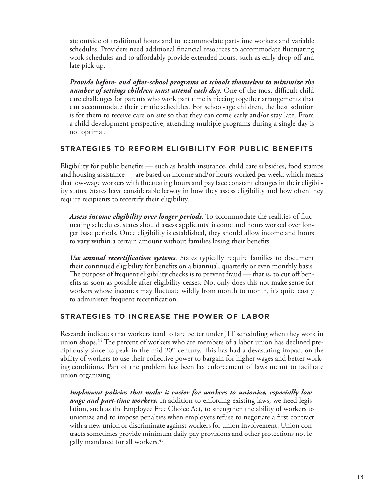ate outside of traditional hours and to accommodate part-time workers and variable schedules. Providers need additional financial resources to accommodate fluctuating work schedules and to affordably provide extended hours, such as early drop off and late pick up.

*Provide before- and after-school programs at schools themselves to minimize the number of settings children must attend each day*. One of the most difficult child care challenges for parents who work part time is piecing together arrangements that can accommodate their erratic schedules. For school-age children, the best solution is for them to receive care on site so that they can come early and/or stay late. From a child development perspective, attending multiple programs during a single day is not optimal.

#### **STRATEGIES TO REFORM ELIGIBILITY FOR PUBLIC BENEFITS**

Eligibility for public benefits — such as health insurance, child care subsidies, food stamps and housing assistance — are based on income and/or hours worked per week, which means that low-wage workers with fluctuating hours and pay face constant changes in their eligibility status. States have considerable leeway in how they assess eligibility and how often they require recipients to recertify their eligibility.

*Assess income eligibility over longer periods*. To accommodate the realities of fluctuating schedules, states should assess applicants' income and hours worked over longer base periods. Once eligibility is established, they should allow income and hours to vary within a certain amount without families losing their benefits.

*Use annual recertification systems*. States typically require families to document their continued eligibility for benefits on a biannual, quarterly or even monthly basis. The purpose of frequent eligibility checks is to prevent fraud — that is, to cut off benefits as soon as possible after eligibility ceases. Not only does this not make sense for workers whose incomes may fluctuate wildly from month to month, it's quite costly to administer frequent recertification.

#### **STRATEGIES TO INCREASE THE POWER OF LABOR**

Research indicates that workers tend to fare better under JIT scheduling when they work in union shops.<sup>44</sup> The percent of workers who are members of a labor union has declined precipitously since its peak in the mid  $20<sup>th</sup>$  century. This has had a devastating impact on the ability of workers to use their collective power to bargain for higher wages and better working conditions. Part of the problem has been lax enforcement of laws meant to facilitate union organizing.

*Implement policies that make it easier for workers to unionize, especially lowwage and part-time workers.* In addition to enforcing existing laws, we need legislation, such as the Employee Free Choice Act, to strengthen the ability of workers to unionize and to impose penalties when employers refuse to negotiate a first contract with a new union or discriminate against workers for union involvement. Union contracts sometimes provide minimum daily pay provisions and other protections not legally mandated for all workers.45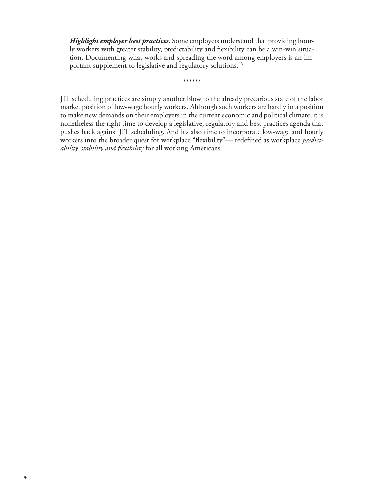*Highlight employer best practices*. Some employers understand that providing hourly workers with greater stability, predictability and flexibility can be a win-win situation. Documenting what works and spreading the word among employers is an important supplement to legislative and regulatory solutions.46

\*\*\*\*\*\*

JIT scheduling practices are simply another blow to the already precarious state of the labor market position of low-wage hourly workers. Although such workers are hardly in a position to make new demands on their employers in the current economic and political climate, it is nonetheless the right time to develop a legislative, regulatory and best practices agenda that pushes back against JIT scheduling. And it's also time to incorporate low-wage and hourly workers into the broader quest for workplace "flexibility"— redefined as workplace *predictability, stability and flexibility* for all working Americans.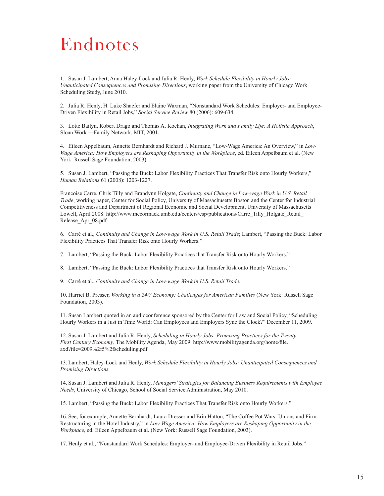### Endnotes

1. Susan J. Lambert, Anna Haley-Lock and Julia R. Henly, *Work Schedule Flexibility in Hourly Jobs: Unanticipated Consequences and Promising Directions*, working paper from the University of Chicago Work Scheduling Study, June 2010.

2. Julia R. Henly, H. Luke Shaefer and Elaine Waxman, "Nonstandard Work Schedules: Employer- and Employee-Driven Flexibility in Retail Jobs," *Social Service Review* 80 (2006): 609-634.

3. Lotte Bailyn, Robert Drago and Thomas A. Kochan, *Integrating Work and Family Life: A Holistic Approach*, Sloan Work —Family Network, MIT, 2001.

4. Eileen Appelbaum, Annette Bernhardt and Richard J. Murnane, "Low-Wage America: An Overview," in *Low-Wage America: How Employers are Reshaping Opportunity in the Workplace*, ed. Eileen Appelbaum et al. (New York: Russell Sage Foundation, 2003).

5. Susan J. Lambert, "Passing the Buck: Labor Flexibility Practices That Transfer Risk onto Hourly Workers," *Human Relations* 61 (2008): 1203-1227.

Francoise Carré, Chris Tilly and Brandynn Holgate, *Continuity and Change in Low-wage Work in U.S. Retail Trade*, working paper, Center for Social Policy, University of Massachusetts Boston and the Center for Industrial Competitiveness and Department of Regional Economic and Social Development, University of Massachusetts Lowell, April 2008. [http://www.mccormack.umb.edu/centers/csp/publications/Carre\\_Tilly\\_Holgate\\_Retail\\_](http://www.mccormack.umb.edu/centers/csp/publications/Carre_Tilly_Holgate_Retail_Release_Apr_08.pdf) [Release\\_Apr\\_08.pdf](http://www.mccormack.umb.edu/centers/csp/publications/Carre_Tilly_Holgate_Retail_Release_Apr_08.pdf)

6. Carré et al., *Continuity and Change in Low-wage Work in U.S. Retail Trade*; Lambert, "Passing the Buck: Labor Flexibility Practices That Transfer Risk onto Hourly Workers."

7. Lambert, "Passing the Buck: Labor Flexibility Practices that Transfer Risk onto Hourly Workers."

8. Lambert, "Passing the Buck: Labor Flexibility Practices that Transfer Risk onto Hourly Workers."

9. Carré et al., *Continuity and Change in Low-wage Work in U.S. Retail Trade.* 

10. Harriet B. Presser, *Working in a 24/7 Economy: Challenges for American Families* (New York: Russell Sage Foundation, 2003).

11. Susan Lambert quoted in an audioconference sponsored by the Center for Law and Social Policy, "Scheduling Hourly Workers in a Just in Time World: Can Employees and Employers Sync the Clock?" December 11, 2009.

12. Susan J. Lambert and Julia R. Henly, *Scheduling in Hourly Jobs: Promising Practices for the Twenty-First Century Economy*, The Mobility Agenda, May 2009. [http://www.mobilityagenda.org/home/file.](http://www.mobilityagenda.org/home/file.axd?file=2009%2f5%2fscheduling.pdf) [axd?file=2009%2f5%2fscheduling.pdf](http://www.mobilityagenda.org/home/file.axd?file=2009%2f5%2fscheduling.pdf)

13. Lambert, Haley-Lock and Henly, *Work Schedule Flexibility in Hourly Jobs: Unanticipated Consequences and Promising Directions.*

14. Susan J. Lambert and Julia R. Henly, *Managers' Strategies for Balancing Business Requirements with Employee Needs*, University of Chicago, School of Social Service Administration, May 2010.

15. Lambert, "Passing the Buck: Labor Flexibility Practices That Transfer Risk onto Hourly Workers."

16. See, for example, Annette Bernhardt, Laura Dresser and Erin Hatton, "The Coffee Pot Wars: Unions and Firm Restructuring in the Hotel Industry," in *Low-Wage America: How Employers are Reshaping Opportunity in the Workplace*, ed. Eileen Appelbaum et al. (New York: Russell Sage Foundation, 2003).

17. Henly et al., "Nonstandard Work Schedules: Employer- and Employee-Driven Flexibility in Retail Jobs."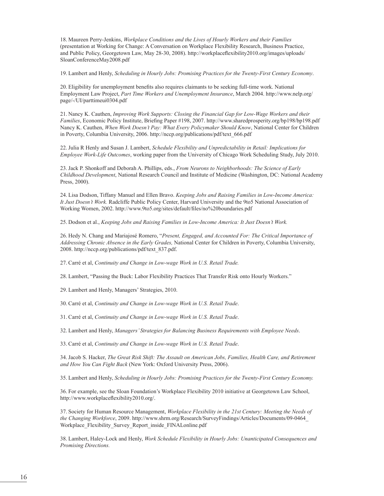18. Maureen Perry-Jenkins, *Workplace Conditions and the Lives of Hourly Workers and their Families* (presentation at Working for Change: A Conversation on Workplace Flexibility Research, Business Practice, and Public Policy, Georgetown Law, May 28-30, 2008). [http://workplaceflexibility2010.org/images/uploads/](http://workplaceflexibility2010.org/images/uploads/SloanConferenceMay2008.pdf) [SloanConferenceMay2008.pdf](http://workplaceflexibility2010.org/images/uploads/SloanConferenceMay2008.pdf)

19. Lambert and Henly, *Scheduling in Hourly Jobs: Promising Practices for the Twenty-First Century Economy*.

20. Eligibility for unemployment benefits also requires claimants to be seeking full-time work. National Employment Law Project, *Part Time Workers and Unemployment Insurance*, March 2004. [http://www.nelp.org/](http://www.nelp.org/page/-/UI/parttimeui0304.pdf) [page/-/UI/parttimeui0304.pdf](http://www.nelp.org/page/-/UI/parttimeui0304.pdf)

21. Nancy K. Cauthen, *Improving Work Supports: Closing the Financial Gap for Low-Wage Workers and their Families*, Economic Policy Institute, Briefing Paper #198, 2007. <http://www.sharedprosperity.org/bp198/bp198.pdf> Nancy K. Cauthen, *When Work Doesn't Pay: What Every Policymaker Should Know*, National Center for Children in Poverty, Columbia University, 2006. [http://nccp.org/publications/pdf/text\\_666.pdf](http://nccp.org/publications/pdf/text_666.pdf)

22. Julia R Henly and Susan J. Lambert, *Schedule Flexibility and Unpredictability in Retail: Implications for Employee Work-Life Outcomes*, working paper from the University of Chicago Work Scheduling Study, July 2010.

23. Jack P. Shonkoff and Deborah A. Phillips, eds., *From Neurons to Neighborhoods: The Science of Early Childhood Development*, National Research Council and Institute of Medicine (Washington, DC: National Academy Press, 2000).

24. Lisa Dodson, Tiffany Manuel and Ellen Bravo. *Keeping Jobs and Raising Families in Low-Income America: It Just Doesn't Work.* Radcliffe Public Policy Center, Harvard University and the 9to5 National Association of Working Women, 2002. [http://www.9to5.org/sites/default/files/no%20boundaries.pdf](http://www.9to5.org/sites/default/files/no boundaries.pdf)

25. Dodson et al., *Keeping Jobs and Raising Families in Low-Income America: It Just Doesn't Work.*

26. Hedy N. Chang and Mariajosé Romero, "*Present, Engaged, and Accounted For: The Critical Importance of Addressing Chronic Absence in the Early Grades,* National Center for Children in Poverty, Columbia University, 2008. [http://nccp.org/publications/pdf/text\\_837.pdf](http://nccp.org/publications/pdf/text_837.pdf).

27. Carré et al, *Continuity and Change in Low-wage Work in U.S. Retail Trade.* 

28. Lambert, "Passing the Buck: Labor Flexibility Practices That Transfer Risk onto Hourly Workers."

29. Lambert and Henly, Managers' Strategies, 2010.

30. Carré et al, *Continuity and Change in Low-wage Work in U.S. Retail Trade*.

31. Carré et al, *Continuity and Change in Low-wage Work in U.S. Retail Trade*.

32. Lambert and Henly, *Managers' Strategies for Balancing Business Requirements with Employee Needs*.

33. Carré et al, *Continuity and Change in Low-wage Work in U.S. Retail Trade*.

34. Jacob S. Hacker, *The Great Risk Shift: The Assault on American Jobs, Families, Health Care, and Retirement and How You Can Fight Back* (New York: Oxford University Press, 2006).

35. Lambert and Henly, *Scheduling in Hourly Jobs: Promising Practices for the Twenty-First Century Economy.*

36. For example, see the Sloan Foundation's Workplace Flexibility 2010 initiative at Georgetown Law School, [http://www.workplaceflexibility2010.org/.](http://www.workplaceflexibility2010.org/)

37. Society for Human Resource Management, *Workplace Flexibility in the 21st Century: Meeting the Needs of the Changing Workforce*, 2009. [http://www.shrm.org/Research/SurveyFindings/Articles/Documents/09-0464\\_](http://www.shrm.org/Research/SurveyFindings/Articles/Documents/09-0464_Workplace_Flexibility_Survey_Report_inside_FINALonline.pdf) Workplace Flexibility Survey Report inside FINALonline.pdf

38. Lambert, Haley-Lock and Henly, *Work Schedule Flexibility in Hourly Jobs: Unanticipated Consequences and Promising Directions.*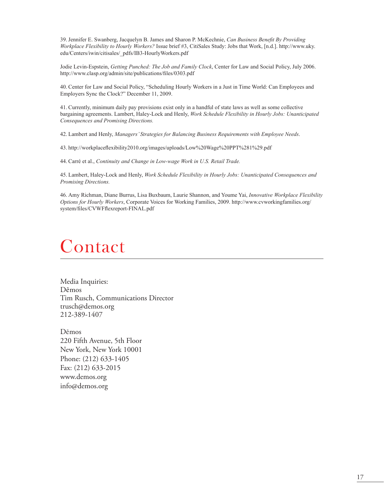39. Jennifer E. Swanberg, Jacquelyn B. James and Sharon P. McKechnie, *Can Business Benefit By Providing Workplace Flexibility to Hourly Workers?* Issue brief #3, CitiSales Study: Jobs that Work, [n.d.]. [http://www.uky.](http://www.uky.edu/Centers/iwin/citisales/_pdfs/IB3-HourlyWorkers.pdf) [edu/Centers/iwin/citisales/\\_pdfs/IB3-HourlyWorkers.pdf](http://www.uky.edu/Centers/iwin/citisales/_pdfs/IB3-HourlyWorkers.pdf)

Jodie Levin-Espstein, *Getting Punched: The Job and Family Clock*, Center for Law and Social Policy, July 2006. <http://www.clasp.org/admin/site/publications/files/0303.pdf>

40. Center for Law and Social Policy, "Scheduling Hourly Workers in a Just in Time World: Can Employees and Employers Sync the Clock?" December 11, 2009.

41. Currently, minimum daily pay provisions exist only in a handful of state laws as well as some collective bargaining agreements. Lambert, Haley-Lock and Henly, *Work Schedule Flexibility in Hourly Jobs: Unanticipated Consequences and Promising Directions.*

42. Lambert and Henly, *Managers' Strategies for Balancing Business Requirements with Employee Needs*.

43.<http://workplaceflexibility2010.org/images/uploads/Low%20Wage%20PPT%281%29.pdf>

44. Carré et al., *Continuity and Change in Low-wage Work in U.S. Retail Trade.* 

45. Lambert, Haley-Lock and Henly, *Work Schedule Flexibility in Hourly Jobs: Unanticipated Consequences and Promising Directions.*

46. Amy Richman, Diane Burrus, Lisa Buxbaum, Laurie Shannon, and Youme Yai, *Innovative Workplace Flexibility Options for Hourly Workers*, Corporate Voices for Working Families, 2009. [http://www.cvworkingfamilies.org/](http://www.cvworkingfamilies.org/system/files/CVWFflexreport-FINAL.pdf) [system/files/CVWFflexreport-FINAL.pdf](http://www.cvworkingfamilies.org/system/files/CVWFflexreport-FINAL.pdf)

### Contact

Media Inquiries: Dēmos Tim Rusch, Communications Director trusch@demos.org 212-389-1407

Dēmos 220 Fifth Avenue, 5th Floor New York, New York 10001 Phone: (212) 633-1405 Fax: (212) 633-2015 www.demos.org info@demos.org